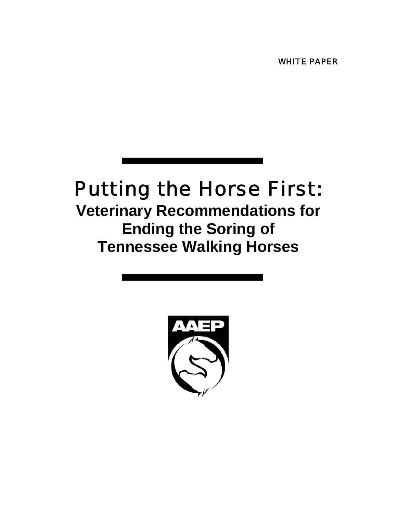WHITE PAPER

# *Putting the Horse First:*

**Veterinary Recommendations for Ending the Soring of Tennessee Walking Horses**

> Ξ

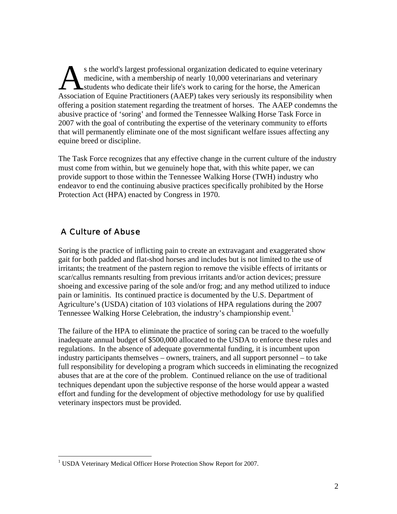s the world's largest professional organization dedicated to equine veterinary medicine, with a membership of nearly 10,000 veterinarians and veterinary  $\blacktriangle$  students who dedicate their life's work to caring for the horse, the American s the world's largest professional organization dedicated to equine veterinary<br>medicine, with a membership of nearly 10,000 veterinarians and veterinary<br>students who dedicate their life's work to caring for the horse, the offering a position statement regarding the treatment of horses. The AAEP condemns the abusive practice of 'soring' and formed the Tennessee Walking Horse Task Force in 2007 with the goal of contributing the expertise of the veterinary community to efforts that will permanently eliminate one of the most significant welfare issues affecting any equine breed or discipline.

The Task Force recognizes that any effective change in the current culture of the industry must come from within, but we genuinely hope that, with this white paper, we can provide support to those within the Tennessee Walking Horse (TWH) industry who endeavor to end the continuing abusive practices specifically prohibited by the Horse Protection Act (HPA) enacted by Congress in 1970.

## A Culture of Abuse

 $\overline{a}$ 

Soring is the practice of inflicting pain to create an extravagant and exaggerated show gait for both padded and flat-shod horses and includes but is not limited to the use of irritants; the treatment of the pastern region to remove the visible effects of irritants or scar/callus remnants resulting from previous irritants and/or action devices; pressure shoeing and excessive paring of the sole and/or frog; and any method utilized to induce pain or laminitis. Its continued practice is documented by the U.S. Department of Agriculture's (USDA) citation of 103 violations of HPA regulations during the 2007 Tennessee Walking Horse Celebration, the industry's championship event.<sup>[1](#page-1-0)</sup>

The failure of the HPA to eliminate the practice of soring can be traced to the woefully inadequate annual budget of \$500,000 allocated to the USDA to enforce these rules and regulations. In the absence of adequate governmental funding, it is incumbent upon industry participants themselves – owners, trainers, and all support personnel – to take full responsibility for developing a program which succeeds in eliminating the recognized abuses that are at the core of the problem. Continued reliance on the use of traditional techniques dependant upon the subjective response of the horse would appear a wasted effort and funding for the development of objective methodology for use by qualified veterinary inspectors must be provided.

<span id="page-1-0"></span><sup>&</sup>lt;sup>1</sup> USDA Veterinary Medical Officer Horse Protection Show Report for 2007.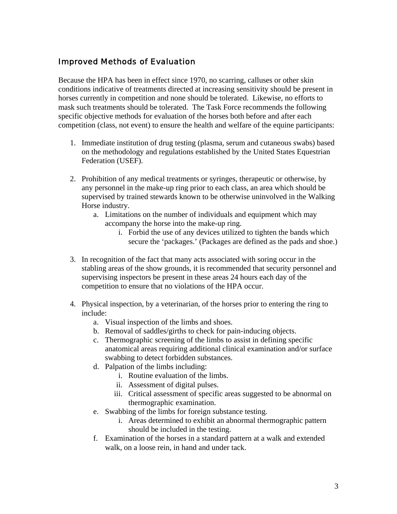## Improved Methods of Evaluation

Because the HPA has been in effect since 1970, no scarring, calluses or other skin conditions indicative of treatments directed at increasing sensitivity should be present in horses currently in competition and none should be tolerated. Likewise, no efforts to mask such treatments should be tolerated. The Task Force recommends the following specific objective methods for evaluation of the horses both before and after each competition (class, not event) to ensure the health and welfare of the equine participants:

- 1. Immediate institution of drug testing (plasma, serum and cutaneous swabs) based on the methodology and regulations established by the United States Equestrian Federation (USEF).
- 2. Prohibition of any medical treatments or syringes, therapeutic or otherwise, by any personnel in the make-up ring prior to each class, an area which should be supervised by trained stewards known to be otherwise uninvolved in the Walking Horse industry.
	- a. Limitations on the number of individuals and equipment which may accompany the horse into the make-up ring.
		- i. Forbid the use of any devices utilized to tighten the bands which secure the 'packages.' (Packages are defined as the pads and shoe.)
- 3. In recognition of the fact that many acts associated with soring occur in the stabling areas of the show grounds, it is recommended that security personnel and supervising inspectors be present in these areas 24 hours each day of the competition to ensure that no violations of the HPA occur.
- 4. Physical inspection, by a veterinarian, of the horses prior to entering the ring to include:
	- a. Visual inspection of the limbs and shoes.
	- b. Removal of saddles/girths to check for pain-inducing objects.
	- c. Thermographic screening of the limbs to assist in defining specific anatomical areas requiring additional clinical examination and/or surface swabbing to detect forbidden substances.
	- d. Palpation of the limbs including:
		- i. Routine evaluation of the limbs.
		- ii. Assessment of digital pulses.
		- iii. Critical assessment of specific areas suggested to be abnormal on thermographic examination.
	- e. Swabbing of the limbs for foreign substance testing.
		- i. Areas determined to exhibit an abnormal thermographic pattern should be included in the testing.
	- f. Examination of the horses in a standard pattern at a walk and extended walk, on a loose rein, in hand and under tack.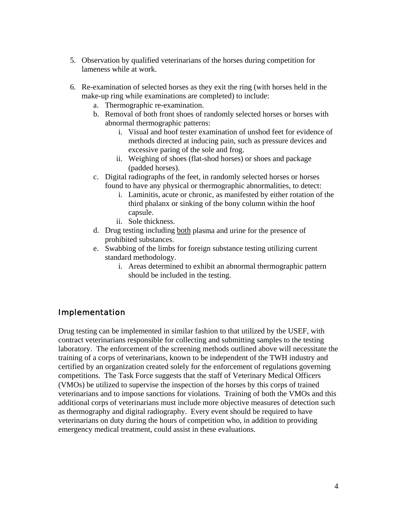- 5. Observation by qualified veterinarians of the horses during competition for lameness while at work.
- 6. Re-examination of selected horses as they exit the ring (with horses held in the make-up ring while examinations are completed) to include:
	- a. Thermographic re-examination.
	- b. Removal of both front shoes of randomly selected horses or horses with abnormal thermographic patterns:
		- i. Visual and hoof tester examination of unshod feet for evidence of methods directed at inducing pain, such as pressure devices and excessive paring of the sole and frog.
		- ii. Weighing of shoes (flat-shod horses) or shoes and package (padded horses).
	- c. Digital radiographs of the feet, in randomly selected horses or horses found to have any physical or thermographic abnormalities, to detect:
		- i. Laminitis, acute or chronic, as manifested by either rotation of the third phalanx or sinking of the bony column within the hoof capsule.
		- ii. Sole thickness.
	- d. Drug testing including both plasma and urine for the presence of prohibited substances.
	- e. Swabbing of the limbs for foreign substance testing utilizing current standard methodology.
		- i. Areas determined to exhibit an abnormal thermographic pattern should be included in the testing.

#### Implementation

Drug testing can be implemented in similar fashion to that utilized by the USEF, with contract veterinarians responsible for collecting and submitting samples to the testing laboratory. The enforcement of the screening methods outlined above will necessitate the training of a corps of veterinarians, known to be independent of the TWH industry and certified by an organization created solely for the enforcement of regulations governing competitions. The Task Force suggests that the staff of Veterinary Medical Officers (VMOs) be utilized to supervise the inspection of the horses by this corps of trained veterinarians and to impose sanctions for violations. Training of both the VMOs and this additional corps of veterinarians must include more objective measures of detection such as thermography and digital radiography. Every event should be required to have veterinarians on duty during the hours of competition who, in addition to providing emergency medical treatment, could assist in these evaluations.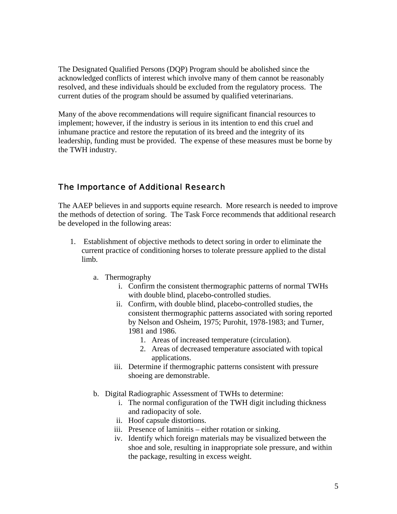The Designated Qualified Persons (DQP) Program should be abolished since the acknowledged conflicts of interest which involve many of them cannot be reasonably resolved, and these individuals should be excluded from the regulatory process. The current duties of the program should be assumed by qualified veterinarians.

Many of the above recommendations will require significant financial resources to implement; however, if the industry is serious in its intention to end this cruel and inhumane practice and restore the reputation of its breed and the integrity of its leadership, funding must be provided. The expense of these measures must be borne by the TWH industry.

#### The Importance of Additional Research

The AAEP believes in and supports equine research. More research is needed to improve the methods of detection of soring. The Task Force recommends that additional research be developed in the following areas:

- 1. Establishment of objective methods to detect soring in order to eliminate the current practice of conditioning horses to tolerate pressure applied to the distal limb.
	- a. Thermography
		- i. Confirm the consistent thermographic patterns of normal TWHs with double blind, placebo-controlled studies.
		- ii. Confirm, with double blind, placebo-controlled studies, the consistent thermographic patterns associated with soring reported by Nelson and Osheim, 1975; Purohit, 1978-1983; and Turner, 1981 and 1986.
			- 1. Areas of increased temperature (circulation).
			- 2. Areas of decreased temperature associated with topical applications.
		- iii. Determine if thermographic patterns consistent with pressure shoeing are demonstrable.
	- b. Digital Radiographic Assessment of TWHs to determine:
		- i. The normal configuration of the TWH digit including thickness and radiopacity of sole.
		- ii. Hoof capsule distortions.
		- iii. Presence of laminitis either rotation or sinking.
		- iv. Identify which foreign materials may be visualized between the shoe and sole, resulting in inappropriate sole pressure, and within the package, resulting in excess weight.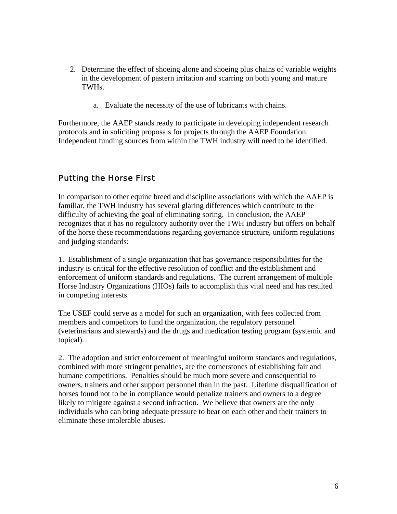- 2. Determine the effect of shoeing alone and shoeing plus chains of variable weights in the development of pastern irritation and scarring on both young and mature TWHs.
	- a. Evaluate the necessity of the use of lubricants with chains.

Furthermore, the AAEP stands ready to participate in developing independent research protocols and in soliciting proposals for projects through the AAEP Foundation. Independent funding sources from within the TWH industry will need to be identified.

## Putting the Horse First

In comparison to other equine breed and discipline associations with which the AAEP is familiar, the TWH industry has several glaring differences which contribute to the difficulty of achieving the goal of eliminating soring. In conclusion, the AAEP recognizes that it has no regulatory authority over the TWH industry but offers on behalf of the horse these recommendations regarding governance structure, uniform regulations and judging standards:

1. Establishment of a single organization that has governance responsibilities for the industry is critical for the effective resolution of conflict and the establishment and enforcement of uniform standards and regulations. The current arrangement of multiple Horse Industry Organizations (HIOs) fails to accomplish this vital need and has resulted in competing interests.

The USEF could serve as a model for such an organization, with fees collected from members and competitors to fund the organization, the regulatory personnel (veterinarians and stewards) and the drugs and medication testing program (systemic and topical).

2. The adoption and strict enforcement of meaningful uniform standards and regulations, combined with more stringent penalties, are the cornerstones of establishing fair and humane competitions. Penalties should be much more severe and consequential to owners, trainers and other support personnel than in the past. Lifetime disqualification of horses found not to be in compliance would penalize trainers and owners to a degree likely to mitigate against a second infraction.We believe that owners are the only individuals who can bring adequate pressure to bear on each other and their trainers to eliminate these intolerable abuses.